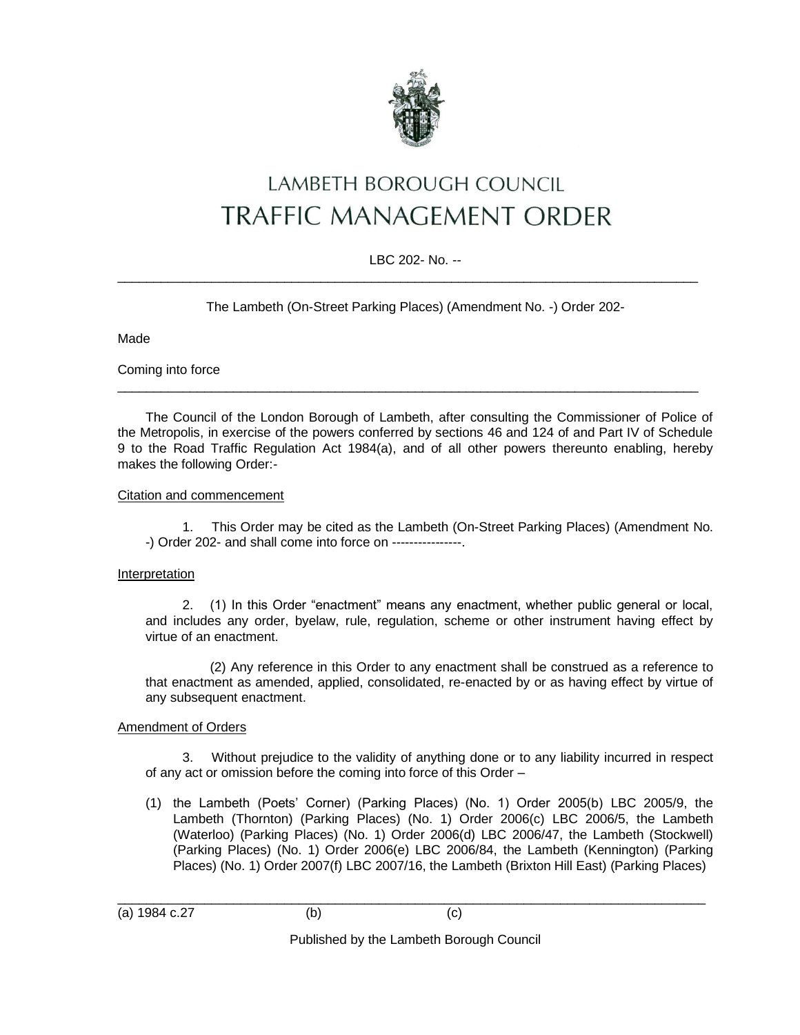

# LAMBETH BOROUGH COUNCIL **TRAFFIC MANAGEMENT ORDER**

## LBC 202- No. --  $\_$  ,  $\_$  ,  $\_$  ,  $\_$  ,  $\_$  ,  $\_$  ,  $\_$  ,  $\_$  ,  $\_$  ,  $\_$  ,  $\_$  ,  $\_$  ,  $\_$  ,  $\_$  ,  $\_$  ,  $\_$  ,  $\_$  ,  $\_$  ,  $\_$  ,  $\_$  ,  $\_$  ,  $\_$  ,  $\_$  ,  $\_$  ,  $\_$  ,  $\_$  ,  $\_$  ,  $\_$  ,  $\_$  ,  $\_$  ,  $\_$  ,  $\_$  ,  $\_$  ,  $\_$  ,  $\_$  ,  $\_$  ,  $\_$  ,

The Lambeth (On-Street Parking Places) (Amendment No. -) Order 202-

Made

Coming into force

The Council of the London Borough of Lambeth, after consulting the Commissioner of Police of the Metropolis, in exercise of the powers conferred by sections 46 and 124 of and Part IV of Schedule 9 to the Road Traffic Regulation Act 1984(a), and of all other powers thereunto enabling, hereby makes the following Order:-

 $\_$  ,  $\_$  ,  $\_$  ,  $\_$  ,  $\_$  ,  $\_$  ,  $\_$  ,  $\_$  ,  $\_$  ,  $\_$  ,  $\_$  ,  $\_$  ,  $\_$  ,  $\_$  ,  $\_$  ,  $\_$  ,  $\_$  ,  $\_$  ,  $\_$  ,  $\_$  ,  $\_$  ,  $\_$  ,  $\_$  ,  $\_$  ,  $\_$  ,  $\_$  ,  $\_$  ,  $\_$  ,  $\_$  ,  $\_$  ,  $\_$  ,  $\_$  ,  $\_$  ,  $\_$  ,  $\_$  ,  $\_$  ,  $\_$  ,

#### Citation and commencement

1. This Order may be cited as the Lambeth (On-Street Parking Places) (Amendment No. -) Order 202- and shall come into force on ----------------.

### Interpretation

2. (1) In this Order "enactment" means any enactment, whether public general or local, and includes any order, byelaw, rule, regulation, scheme or other instrument having effect by virtue of an enactment.

(2) Any reference in this Order to any enactment shall be construed as a reference to that enactment as amended, applied, consolidated, re-enacted by or as having effect by virtue of any subsequent enactment.

### Amendment of Orders

3. Without prejudice to the validity of anything done or to any liability incurred in respect of any act or omission before the coming into force of this Order –

(1) the Lambeth (Poets' Corner) (Parking Places) (No. 1) Order 2005(b) LBC 2005/9, the Lambeth (Thornton) (Parking Places) (No. 1) Order 2006(c) LBC 2006/5, the Lambeth (Waterloo) (Parking Places) (No. 1) Order 2006(d) LBC 2006/47, the Lambeth (Stockwell) (Parking Places) (No. 1) Order 2006(e) LBC 2006/84, the Lambeth (Kennington) (Parking Places) (No. 1) Order 2007(f) LBC 2007/16, the Lambeth (Brixton Hill East) (Parking Places)

(a) 1984 c.27 (b) (c)

\_\_\_\_\_\_\_\_\_\_\_\_\_\_\_\_\_\_\_\_\_\_\_\_\_\_\_\_\_\_\_\_\_\_\_\_\_\_\_\_\_\_\_\_\_\_\_\_\_\_\_\_\_\_\_\_\_\_\_\_\_\_\_\_\_\_\_\_\_\_\_\_\_\_\_\_\_\_\_\_\_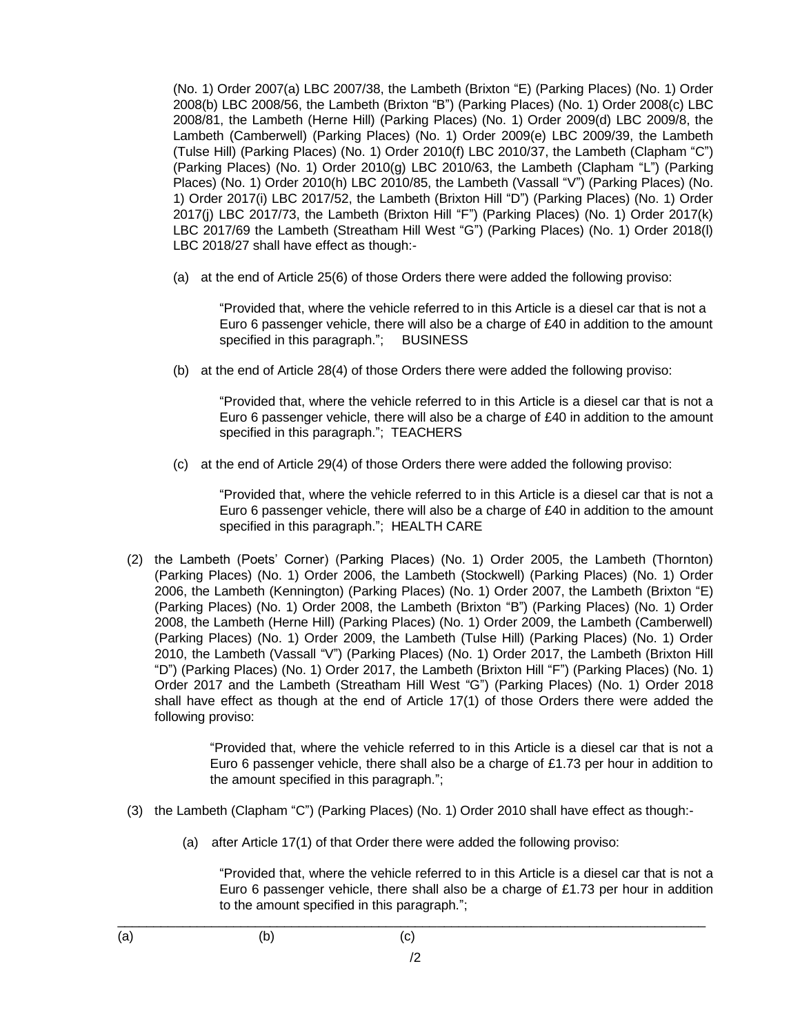(No. 1) Order 2007(a) LBC 2007/38, the Lambeth (Brixton "E) (Parking Places) (No. 1) Order 2008(b) LBC 2008/56, the Lambeth (Brixton "B") (Parking Places) (No. 1) Order 2008(c) LBC 2008/81, the Lambeth (Herne Hill) (Parking Places) (No. 1) Order 2009(d) LBC 2009/8, the Lambeth (Camberwell) (Parking Places) (No. 1) Order 2009(e) LBC 2009/39, the Lambeth (Tulse Hill) (Parking Places) (No. 1) Order 2010(f) LBC 2010/37, the Lambeth (Clapham "C") (Parking Places) (No. 1) Order 2010(g) LBC 2010/63, the Lambeth (Clapham "L") (Parking Places) (No. 1) Order 2010(h) LBC 2010/85, the Lambeth (Vassall "V") (Parking Places) (No. 1) Order 2017(i) LBC 2017/52, the Lambeth (Brixton Hill "D") (Parking Places) (No. 1) Order 2017(j) LBC 2017/73, the Lambeth (Brixton Hill "F") (Parking Places) (No. 1) Order 2017(k) LBC 2017/69 the Lambeth (Streatham Hill West "G") (Parking Places) (No. 1) Order 2018(l) LBC 2018/27 shall have effect as though:-

(a) at the end of Article 25(6) of those Orders there were added the following proviso:

"Provided that, where the vehicle referred to in this Article is a diesel car that is not a Euro 6 passenger vehicle, there will also be a charge of £40 in addition to the amount specified in this paragraph."; BUSINESS

(b) at the end of Article 28(4) of those Orders there were added the following proviso:

"Provided that, where the vehicle referred to in this Article is a diesel car that is not a Euro 6 passenger vehicle, there will also be a charge of £40 in addition to the amount specified in this paragraph."; TEACHERS

(c) at the end of Article 29(4) of those Orders there were added the following proviso:

"Provided that, where the vehicle referred to in this Article is a diesel car that is not a Euro 6 passenger vehicle, there will also be a charge of £40 in addition to the amount specified in this paragraph."; HEALTH CARE

(2) the Lambeth (Poets' Corner) (Parking Places) (No. 1) Order 2005, the Lambeth (Thornton) (Parking Places) (No. 1) Order 2006, the Lambeth (Stockwell) (Parking Places) (No. 1) Order 2006, the Lambeth (Kennington) (Parking Places) (No. 1) Order 2007, the Lambeth (Brixton "E) (Parking Places) (No. 1) Order 2008, the Lambeth (Brixton "B") (Parking Places) (No. 1) Order 2008, the Lambeth (Herne Hill) (Parking Places) (No. 1) Order 2009, the Lambeth (Camberwell) (Parking Places) (No. 1) Order 2009, the Lambeth (Tulse Hill) (Parking Places) (No. 1) Order 2010, the Lambeth (Vassall "V") (Parking Places) (No. 1) Order 2017, the Lambeth (Brixton Hill "D") (Parking Places) (No. 1) Order 2017, the Lambeth (Brixton Hill "F") (Parking Places) (No. 1) Order 2017 and the Lambeth (Streatham Hill West "G") (Parking Places) (No. 1) Order 2018 shall have effect as though at the end of Article 17(1) of those Orders there were added the following proviso:

> "Provided that, where the vehicle referred to in this Article is a diesel car that is not a Euro 6 passenger vehicle, there shall also be a charge of £1.73 per hour in addition to the amount specified in this paragraph.";

- (3) the Lambeth (Clapham "C") (Parking Places) (No. 1) Order 2010 shall have effect as though:-
	- (a) after Article 17(1) of that Order there were added the following proviso:

"Provided that, where the vehicle referred to in this Article is a diesel car that is not a Euro 6 passenger vehicle, there shall also be a charge of  $£1.73$  per hour in addition to the amount specified in this paragraph.";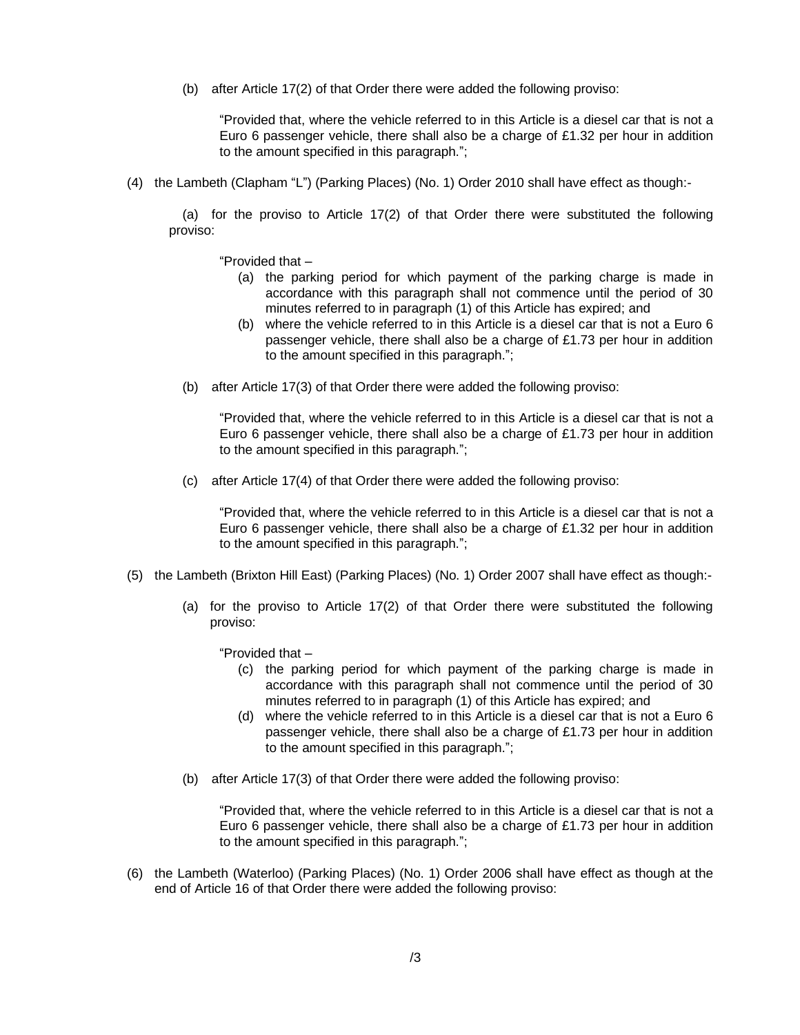(b) after Article 17(2) of that Order there were added the following proviso:

"Provided that, where the vehicle referred to in this Article is a diesel car that is not a Euro 6 passenger vehicle, there shall also be a charge of £1.32 per hour in addition to the amount specified in this paragraph.";

(4) the Lambeth (Clapham "L") (Parking Places) (No. 1) Order 2010 shall have effect as though:-

(a) for the proviso to Article 17(2) of that Order there were substituted the following proviso:

"Provided that –

- (a) the parking period for which payment of the parking charge is made in accordance with this paragraph shall not commence until the period of 30 minutes referred to in paragraph (1) of this Article has expired; and
- (b) where the vehicle referred to in this Article is a diesel car that is not a Euro 6 passenger vehicle, there shall also be a charge of £1.73 per hour in addition to the amount specified in this paragraph.";
- (b) after Article 17(3) of that Order there were added the following proviso:

"Provided that, where the vehicle referred to in this Article is a diesel car that is not a Euro 6 passenger vehicle, there shall also be a charge of  $£1.73$  per hour in addition to the amount specified in this paragraph.";

(c) after Article 17(4) of that Order there were added the following proviso:

"Provided that, where the vehicle referred to in this Article is a diesel car that is not a Euro 6 passenger vehicle, there shall also be a charge of £1.32 per hour in addition to the amount specified in this paragraph.";

- (5) the Lambeth (Brixton Hill East) (Parking Places) (No. 1) Order 2007 shall have effect as though:-
	- (a) for the proviso to Article 17(2) of that Order there were substituted the following proviso:

"Provided that –

- (c) the parking period for which payment of the parking charge is made in accordance with this paragraph shall not commence until the period of 30 minutes referred to in paragraph (1) of this Article has expired; and
- (d) where the vehicle referred to in this Article is a diesel car that is not a Euro 6 passenger vehicle, there shall also be a charge of £1.73 per hour in addition to the amount specified in this paragraph.";
- (b) after Article 17(3) of that Order there were added the following proviso:

"Provided that, where the vehicle referred to in this Article is a diesel car that is not a Euro 6 passenger vehicle, there shall also be a charge of £1.73 per hour in addition to the amount specified in this paragraph.";

(6) the Lambeth (Waterloo) (Parking Places) (No. 1) Order 2006 shall have effect as though at the end of Article 16 of that Order there were added the following proviso: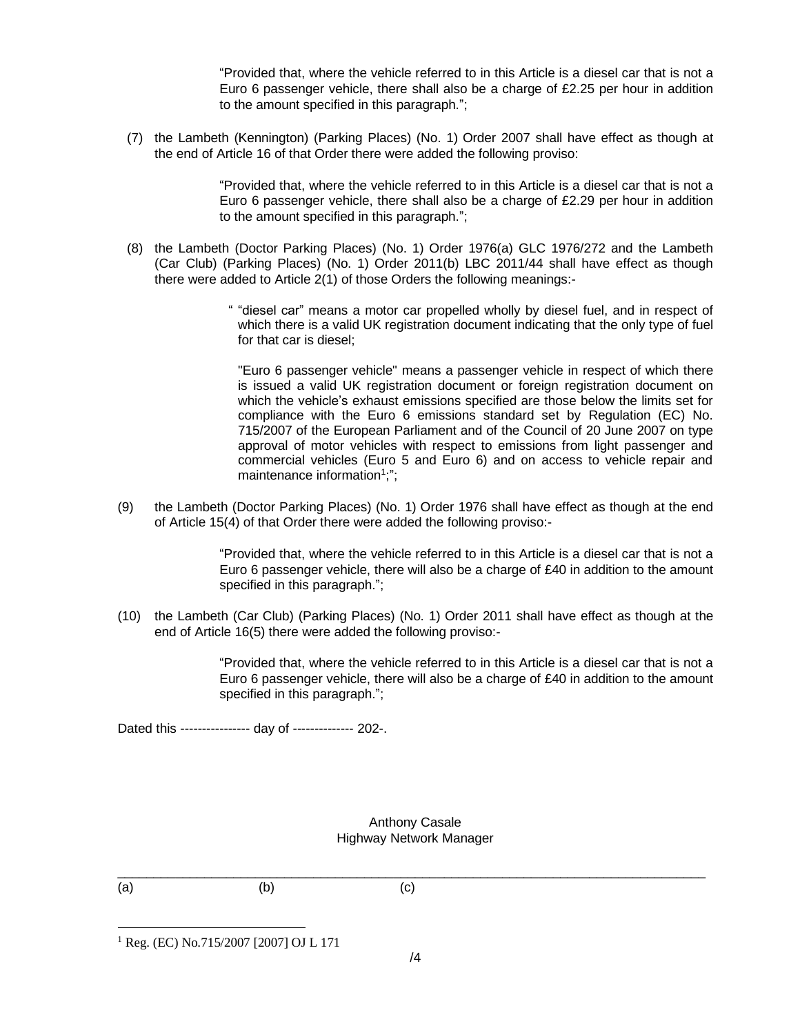"Provided that, where the vehicle referred to in this Article is a diesel car that is not a Euro 6 passenger vehicle, there shall also be a charge of £2.25 per hour in addition to the amount specified in this paragraph.";

(7) the Lambeth (Kennington) (Parking Places) (No. 1) Order 2007 shall have effect as though at the end of Article 16 of that Order there were added the following proviso:

> "Provided that, where the vehicle referred to in this Article is a diesel car that is not a Euro 6 passenger vehicle, there shall also be a charge of £2.29 per hour in addition to the amount specified in this paragraph.";

- (8) the Lambeth (Doctor Parking Places) (No. 1) Order 1976(a) GLC 1976/272 and the Lambeth (Car Club) (Parking Places) (No. 1) Order 2011(b) LBC 2011/44 shall have effect as though there were added to Article 2(1) of those Orders the following meanings:-
	- " "diesel car" means a motor car propelled wholly by diesel fuel, and in respect of which there is a valid UK registration document indicating that the only type of fuel for that car is diesel;

"Euro 6 passenger vehicle" means a passenger vehicle in respect of which there is issued a valid UK registration document or foreign registration document on which the vehicle's exhaust emissions specified are those below the limits set for compliance with the Euro 6 emissions standard set by Regulation (EC) No. 715/2007 of the European Parliament and of the Council of 20 June 2007 on type approval of motor vehicles with respect to emissions from light passenger and commercial vehicles (Euro 5 and Euro 6) and on access to vehicle repair and maintenance information<sup>1</sup>;";

(9) the Lambeth (Doctor Parking Places) (No. 1) Order 1976 shall have effect as though at the end of Article 15(4) of that Order there were added the following proviso:-

> "Provided that, where the vehicle referred to in this Article is a diesel car that is not a Euro 6 passenger vehicle, there will also be a charge of £40 in addition to the amount specified in this paragraph.";

(10) the Lambeth (Car Club) (Parking Places) (No. 1) Order 2011 shall have effect as though at the end of Article 16(5) there were added the following proviso:-

> "Provided that, where the vehicle referred to in this Article is a diesel car that is not a Euro 6 passenger vehicle, there will also be a charge of £40 in addition to the amount specified in this paragraph.";

Dated this ---------------- day of -------------- 202-.

#### Anthony Casale Highway Network Manager

(a)  $(b)$  (c)

 $\_$  ,  $\_$  ,  $\_$  ,  $\_$  ,  $\_$  ,  $\_$  ,  $\_$  ,  $\_$  ,  $\_$  ,  $\_$  ,  $\_$  ,  $\_$  ,  $\_$  ,  $\_$  ,  $\_$  ,  $\_$  ,  $\_$  ,  $\_$  ,  $\_$  ,  $\_$  ,  $\_$  ,  $\_$  ,  $\_$  ,  $\_$  ,  $\_$  ,  $\_$  ,  $\_$  ,  $\_$  ,  $\_$  ,  $\_$  ,  $\_$  ,  $\_$  ,  $\_$  ,  $\_$  ,  $\_$  ,  $\_$  ,  $\_$  ,

<sup>1</sup> Reg. (EC) No.715/2007 [2007] OJ L 171